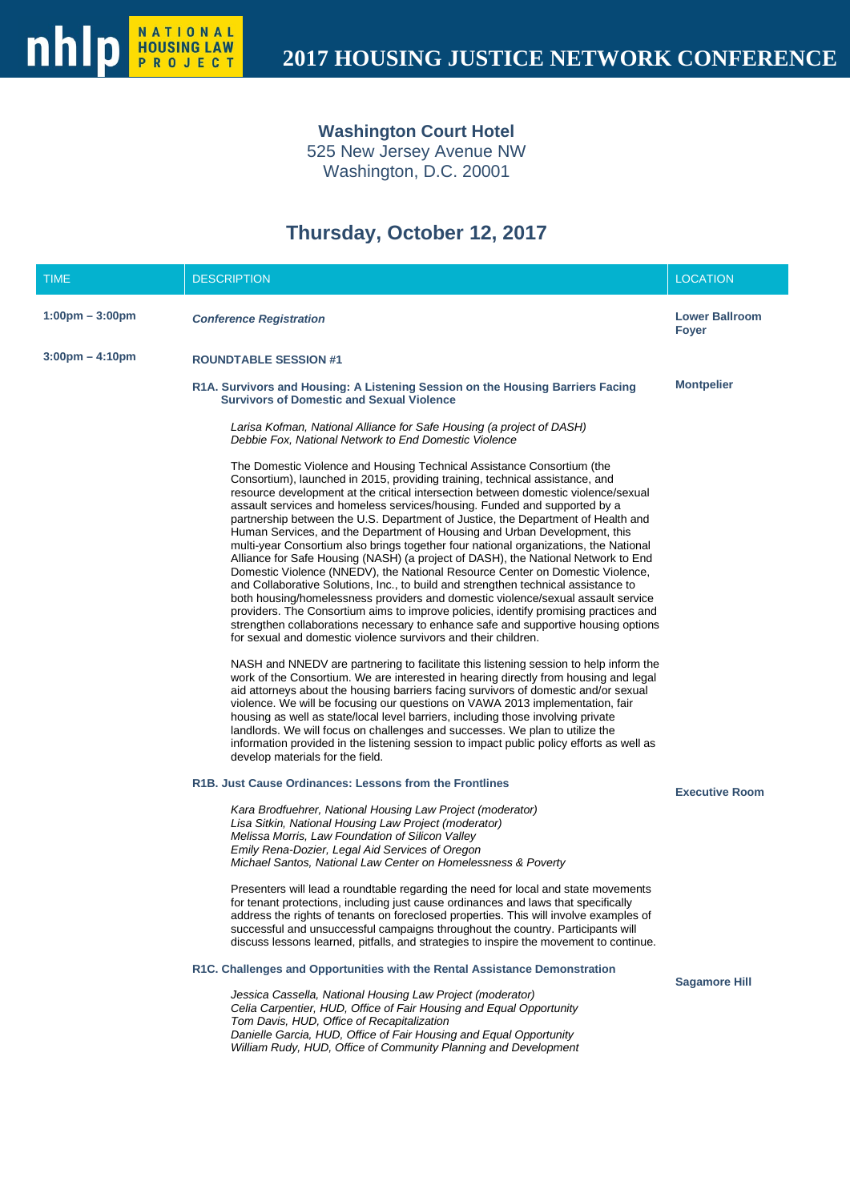**Washington Court Hotel**

525 New Jersey Avenue NW Washington, D.C. 20001

# **Thursday, October 12, 2017**

| <b>TIME</b>                       | <b>DESCRIPTION</b>                                                                                                                                                                                                                                                                                                                                                                                                                                                                                                                                                                                                                                                                                                                                                                                                                                                                                                                                                                                                                                                                                                                                                                                                                                                                                                                                                                                                                                                                                                                                                                                                                                                                                                                                                                                          | <b>LOCATION</b>                       |
|-----------------------------------|-------------------------------------------------------------------------------------------------------------------------------------------------------------------------------------------------------------------------------------------------------------------------------------------------------------------------------------------------------------------------------------------------------------------------------------------------------------------------------------------------------------------------------------------------------------------------------------------------------------------------------------------------------------------------------------------------------------------------------------------------------------------------------------------------------------------------------------------------------------------------------------------------------------------------------------------------------------------------------------------------------------------------------------------------------------------------------------------------------------------------------------------------------------------------------------------------------------------------------------------------------------------------------------------------------------------------------------------------------------------------------------------------------------------------------------------------------------------------------------------------------------------------------------------------------------------------------------------------------------------------------------------------------------------------------------------------------------------------------------------------------------------------------------------------------------|---------------------------------------|
| $1:00 \text{pm} - 3:00 \text{pm}$ | <b>Conference Registration</b>                                                                                                                                                                                                                                                                                                                                                                                                                                                                                                                                                                                                                                                                                                                                                                                                                                                                                                                                                                                                                                                                                                                                                                                                                                                                                                                                                                                                                                                                                                                                                                                                                                                                                                                                                                              | <b>Lower Ballroom</b><br><b>Fover</b> |
| $3:00 \text{pm} - 4:10 \text{pm}$ | <b>ROUNDTABLE SESSION #1</b>                                                                                                                                                                                                                                                                                                                                                                                                                                                                                                                                                                                                                                                                                                                                                                                                                                                                                                                                                                                                                                                                                                                                                                                                                                                                                                                                                                                                                                                                                                                                                                                                                                                                                                                                                                                |                                       |
|                                   | R1A. Survivors and Housing: A Listening Session on the Housing Barriers Facing<br><b>Survivors of Domestic and Sexual Violence</b>                                                                                                                                                                                                                                                                                                                                                                                                                                                                                                                                                                                                                                                                                                                                                                                                                                                                                                                                                                                                                                                                                                                                                                                                                                                                                                                                                                                                                                                                                                                                                                                                                                                                          | <b>Montpelier</b>                     |
|                                   | Larisa Kofman, National Alliance for Safe Housing (a project of DASH)<br>Debbie Fox, National Network to End Domestic Violence                                                                                                                                                                                                                                                                                                                                                                                                                                                                                                                                                                                                                                                                                                                                                                                                                                                                                                                                                                                                                                                                                                                                                                                                                                                                                                                                                                                                                                                                                                                                                                                                                                                                              |                                       |
|                                   | The Domestic Violence and Housing Technical Assistance Consortium (the<br>Consortium), launched in 2015, providing training, technical assistance, and<br>resource development at the critical intersection between domestic violence/sexual<br>assault services and homeless services/housing. Funded and supported by a<br>partnership between the U.S. Department of Justice, the Department of Health and<br>Human Services, and the Department of Housing and Urban Development, this<br>multi-year Consortium also brings together four national organizations, the National<br>Alliance for Safe Housing (NASH) (a project of DASH), the National Network to End<br>Domestic Violence (NNEDV), the National Resource Center on Domestic Violence,<br>and Collaborative Solutions, Inc., to build and strengthen technical assistance to<br>both housing/homelessness providers and domestic violence/sexual assault service<br>providers. The Consortium aims to improve policies, identify promising practices and<br>strengthen collaborations necessary to enhance safe and supportive housing options<br>for sexual and domestic violence survivors and their children.<br>NASH and NNEDV are partnering to facilitate this listening session to help inform the<br>work of the Consortium. We are interested in hearing directly from housing and legal<br>aid attorneys about the housing barriers facing survivors of domestic and/or sexual<br>violence. We will be focusing our questions on VAWA 2013 implementation, fair<br>housing as well as state/local level barriers, including those involving private<br>landlords. We will focus on challenges and successes. We plan to utilize the<br>information provided in the listening session to impact public policy efforts as well as |                                       |
|                                   | develop materials for the field.<br>R1B. Just Cause Ordinances: Lessons from the Frontlines                                                                                                                                                                                                                                                                                                                                                                                                                                                                                                                                                                                                                                                                                                                                                                                                                                                                                                                                                                                                                                                                                                                                                                                                                                                                                                                                                                                                                                                                                                                                                                                                                                                                                                                 |                                       |
|                                   | Kara Brodfuehrer, National Housing Law Project (moderator)<br>Lisa Sitkin, National Housing Law Project (moderator)<br>Melissa Morris, Law Foundation of Silicon Valley<br>Emily Rena-Dozier, Legal Aid Services of Oregon<br>Michael Santos, National Law Center on Homelessness & Poverty<br>Presenters will lead a roundtable regarding the need for local and state movements<br>for tenant protections, including just cause ordinances and laws that specifically                                                                                                                                                                                                                                                                                                                                                                                                                                                                                                                                                                                                                                                                                                                                                                                                                                                                                                                                                                                                                                                                                                                                                                                                                                                                                                                                     | <b>Executive Room</b>                 |
|                                   | address the rights of tenants on foreclosed properties. This will involve examples of<br>successful and unsuccessful campaigns throughout the country. Participants will<br>discuss lessons learned, pitfalls, and strategies to inspire the movement to continue.                                                                                                                                                                                                                                                                                                                                                                                                                                                                                                                                                                                                                                                                                                                                                                                                                                                                                                                                                                                                                                                                                                                                                                                                                                                                                                                                                                                                                                                                                                                                          |                                       |
|                                   | R1C. Challenges and Opportunities with the Rental Assistance Demonstration                                                                                                                                                                                                                                                                                                                                                                                                                                                                                                                                                                                                                                                                                                                                                                                                                                                                                                                                                                                                                                                                                                                                                                                                                                                                                                                                                                                                                                                                                                                                                                                                                                                                                                                                  | <b>Sagamore Hill</b>                  |
|                                   | Jessica Cassella, National Housing Law Project (moderator)<br>Celia Carpentier, HUD, Office of Fair Housing and Equal Opportunity<br>Tom Davis, HUD, Office of Recapitalization<br>Danielle Garcia, HUD, Office of Fair Housing and Equal Opportunity<br>William Rudy, HUD, Office of Community Planning and Development                                                                                                                                                                                                                                                                                                                                                                                                                                                                                                                                                                                                                                                                                                                                                                                                                                                                                                                                                                                                                                                                                                                                                                                                                                                                                                                                                                                                                                                                                    |                                       |
|                                   |                                                                                                                                                                                                                                                                                                                                                                                                                                                                                                                                                                                                                                                                                                                                                                                                                                                                                                                                                                                                                                                                                                                                                                                                                                                                                                                                                                                                                                                                                                                                                                                                                                                                                                                                                                                                             |                                       |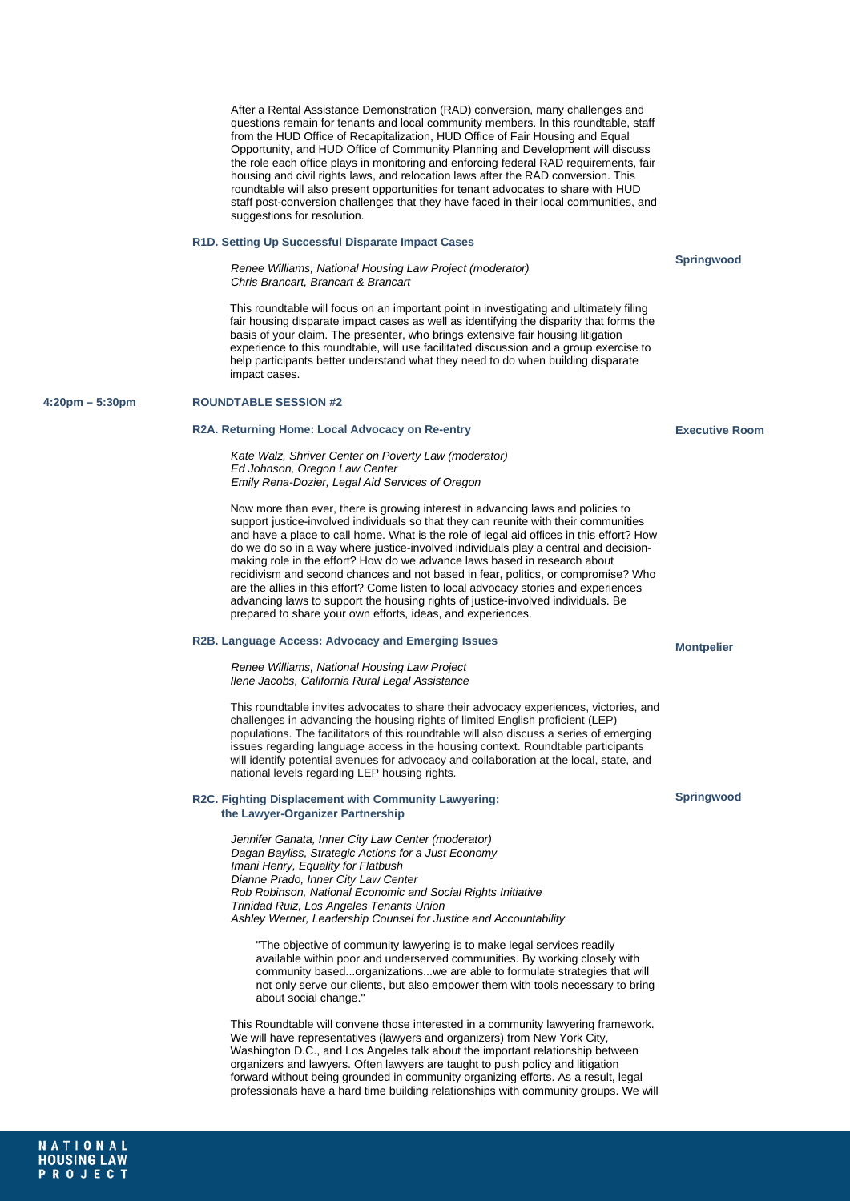After a Rental Assistance Demonstration (RAD) conversion, many challenges and questions remain for tenants and local community members. In this roundtable, staff from the HUD Office of Recapitalization, HUD Office of Fair Housing and Equal Opportunity, and HUD Office of Community Planning and Development will discuss the role each office plays in monitoring and enforcing federal RAD requirements, fair housing and civil rights laws, and relocation laws after the RAD conversion. This roundtable will also present opportunities for tenant advocates to share with HUD staff post-conversion challenges that they have faced in their local communities, and suggestions for resolution.

#### **R1D. Setting Up Successful Disparate Impact Cases**

*Renee Williams, National Housing Law Project (moderator) Chris Brancart, Brancart & Brancart*

This roundtable will focus on an important point in investigating and ultimately filing fair housing disparate impact cases as well as identifying the disparity that forms the basis of your claim. The presenter, who brings extensive fair housing litigation experience to this roundtable, will use facilitated discussion and a group exercise to help participants better understand what they need to do when building disparate impact cases.

# **4:20pm – 5:30pm ROUNDTABLE SESSION #2**

#### **R2A. Returning Home: Local Advocacy on Re-entry**

*Kate Walz, Shriver Center on Poverty Law (moderator) Ed Johnson, Oregon Law Center Emily Rena-Dozier, Legal Aid Services of Oregon*

Now more than ever, there is growing interest in advancing laws and policies to support justice-involved individuals so that they can reunite with their communities and have a place to call home. What is the role of legal aid offices in this effort? How do we do so in a way where justice-involved individuals play a central and decisionmaking role in the effort? How do we advance laws based in research about recidivism and second chances and not based in fear, politics, or compromise? Who are the allies in this effort? Come listen to local advocacy stories and experiences advancing laws to support the housing rights of justice-involved individuals. Be prepared to share your own efforts, ideas, and experiences.

#### **R2B. Language Access: Advocacy and Emerging Issues**

*Renee Williams, National Housing Law Project Ilene Jacobs, California Rural Legal Assistance* 

This roundtable invites advocates to share their advocacy experiences, victories, and challenges in advancing the housing rights of limited English proficient (LEP) populations. The facilitators of this roundtable will also discuss a series of emerging issues regarding language access in the housing context. Roundtable participants will identify potential avenues for advocacy and collaboration at the local, state, and national levels regarding LEP housing rights.

#### **R2C. Fighting Displacement with Community Lawyering: the Lawyer-Organizer Partnership**

*Jennifer Ganata, Inner City Law Center (moderator) Dagan Bayliss, Strategic Actions for a Just Economy Imani Henry, Equality for Flatbush Dianne Prado, Inner City Law Center Rob Robinson, National Economic and Social Rights Initiative Trinidad Ruiz, Los Angeles Tenants Union Ashley Werner, Leadership Counsel for Justice and Accountability*

"The objective of community lawyering is to make legal services readily available within poor and underserved communities. By working closely with community based...organizations...we are able to formulate strategies that will not only serve our clients, but also empower them with tools necessary to bring about social change."

This Roundtable will convene those interested in a community lawyering framework. We will have representatives (lawyers and organizers) from New York City, Washington D.C., and Los Angeles talk about the important relationship between organizers and lawyers. Often lawyers are taught to push policy and litigation forward without being grounded in community organizing efforts. As a result, legal professionals have a hard time building relationships with community groups. We will **Executive Room**

**Springwood**

# **Montpelier**

# **Springwood**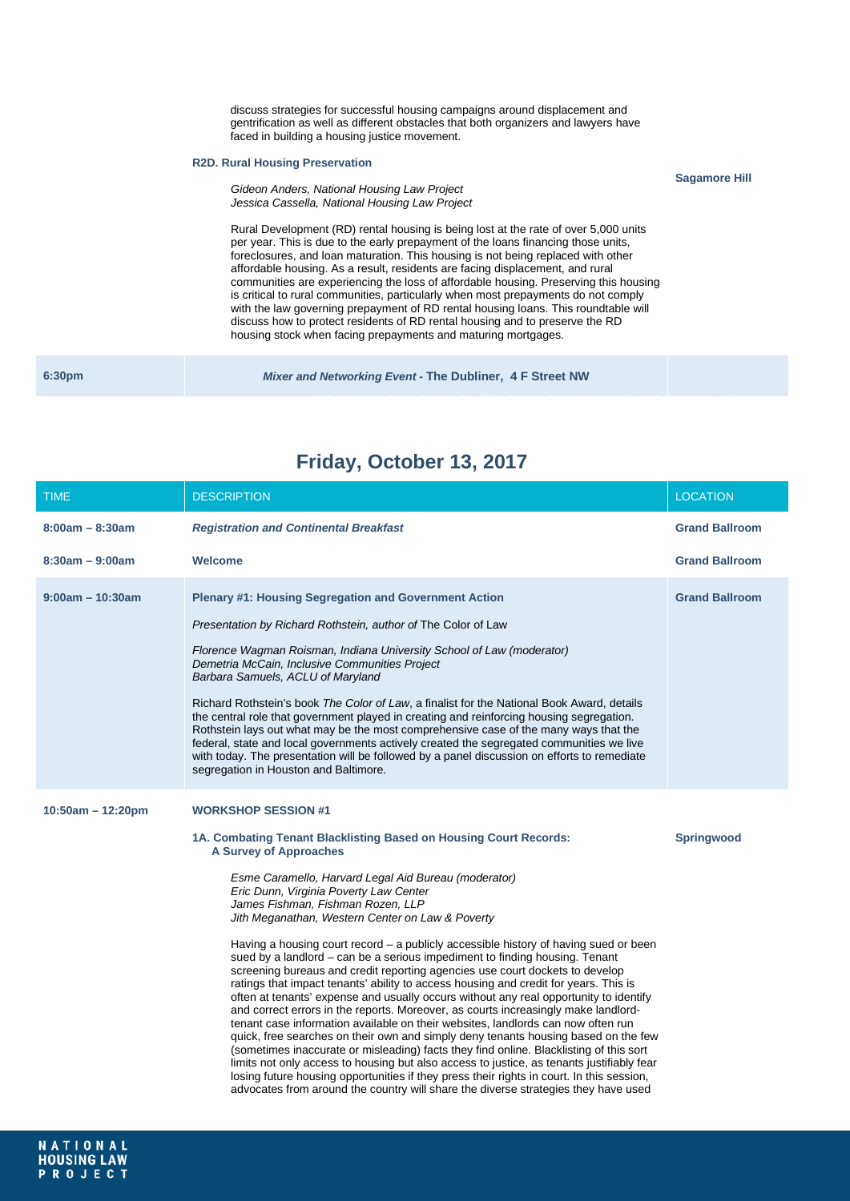discuss strategies for successful housing campaigns around displacement and gentrification as well as different obstacles that both organizers and lawyers have faced in building a housing justice movement.

**Sagamore Hill**

# **R2D. Rural Housing Preservation**

*Gideon Anders, National Housing Law Project Jessica Cassella, National Housing Law Project*

Rural Development (RD) rental housing is being lost at the rate of over 5,000 units per year. This is due to the early prepayment of the loans financing those units, foreclosures, and loan maturation. This housing is not being replaced with other affordable housing. As a result, residents are facing displacement, and rural communities are experiencing the loss of affordable housing. Preserving this housing is critical to rural communities, particularly when most prepayments do not comply with the law governing prepayment of RD rental housing loans. This roundtable will discuss how to protect residents of RD rental housing and to preserve the RD housing stock when facing prepayments and maturing mortgages.

| 6:30 <sub>pm</sub> | Mixer and Networking Event - The Dubliner, 4 F Street NW |  |
|--------------------|----------------------------------------------------------|--|
|                    |                                                          |  |

| <b>TIME</b>         | <b>DESCRIPTION</b>                                                                                                                                                                                                                                                                                                                                                                                                                                                                                                                                                                                                                                                                                                                                                                                                                                                                                                                                                                                                                                                                                                                                                                                                                                                                                                                                                                                            | <b>LOCATION</b>       |
|---------------------|---------------------------------------------------------------------------------------------------------------------------------------------------------------------------------------------------------------------------------------------------------------------------------------------------------------------------------------------------------------------------------------------------------------------------------------------------------------------------------------------------------------------------------------------------------------------------------------------------------------------------------------------------------------------------------------------------------------------------------------------------------------------------------------------------------------------------------------------------------------------------------------------------------------------------------------------------------------------------------------------------------------------------------------------------------------------------------------------------------------------------------------------------------------------------------------------------------------------------------------------------------------------------------------------------------------------------------------------------------------------------------------------------------------|-----------------------|
| $8:00am - 8:30am$   | <b>Registration and Continental Breakfast</b>                                                                                                                                                                                                                                                                                                                                                                                                                                                                                                                                                                                                                                                                                                                                                                                                                                                                                                                                                                                                                                                                                                                                                                                                                                                                                                                                                                 | <b>Grand Ballroom</b> |
| $8:30am - 9:00am$   | Welcome                                                                                                                                                                                                                                                                                                                                                                                                                                                                                                                                                                                                                                                                                                                                                                                                                                                                                                                                                                                                                                                                                                                                                                                                                                                                                                                                                                                                       | <b>Grand Ballroom</b> |
| $9:00am - 10:30am$  | <b>Plenary #1: Housing Segregation and Government Action</b><br>Presentation by Richard Rothstein, author of The Color of Law<br>Florence Wagman Roisman, Indiana University School of Law (moderator)<br>Demetria McCain, Inclusive Communities Project<br>Barbara Samuels, ACLU of Maryland<br>Richard Rothstein's book The Color of Law, a finalist for the National Book Award, details<br>the central role that government played in creating and reinforcing housing segregation.<br>Rothstein lays out what may be the most comprehensive case of the many ways that the<br>federal, state and local governments actively created the segregated communities we live<br>with today. The presentation will be followed by a panel discussion on efforts to remediate<br>segregation in Houston and Baltimore.                                                                                                                                                                                                                                                                                                                                                                                                                                                                                                                                                                                           | <b>Grand Ballroom</b> |
| $10:50am - 12:20pm$ | <b>WORKSHOP SESSION #1</b><br>1A. Combating Tenant Blacklisting Based on Housing Court Records:<br><b>A Survey of Approaches</b><br>Esme Caramello, Harvard Legal Aid Bureau (moderator)<br>Eric Dunn, Virginia Poverty Law Center<br>James Fishman, Fishman Rozen, LLP<br>Jith Meganathan, Western Center on Law & Poverty<br>Having a housing court record – a publicly accessible history of having sued or been<br>sued by a landlord – can be a serious impediment to finding housing. Tenant<br>screening bureaus and credit reporting agencies use court dockets to develop<br>ratings that impact tenants' ability to access housing and credit for years. This is<br>often at tenants' expense and usually occurs without any real opportunity to identify<br>and correct errors in the reports. Moreover, as courts increasingly make landlord-<br>tenant case information available on their websites, landlords can now often run<br>quick, free searches on their own and simply deny tenants housing based on the few<br>(sometimes inaccurate or misleading) facts they find online. Blacklisting of this sort<br>limits not only access to housing but also access to justice, as tenants justifiably fear<br>losing future housing opportunities if they press their rights in court. In this session,<br>advocates from around the country will share the diverse strategies they have used | <b>Springwood</b>     |

# **Friday, October 13, 2017**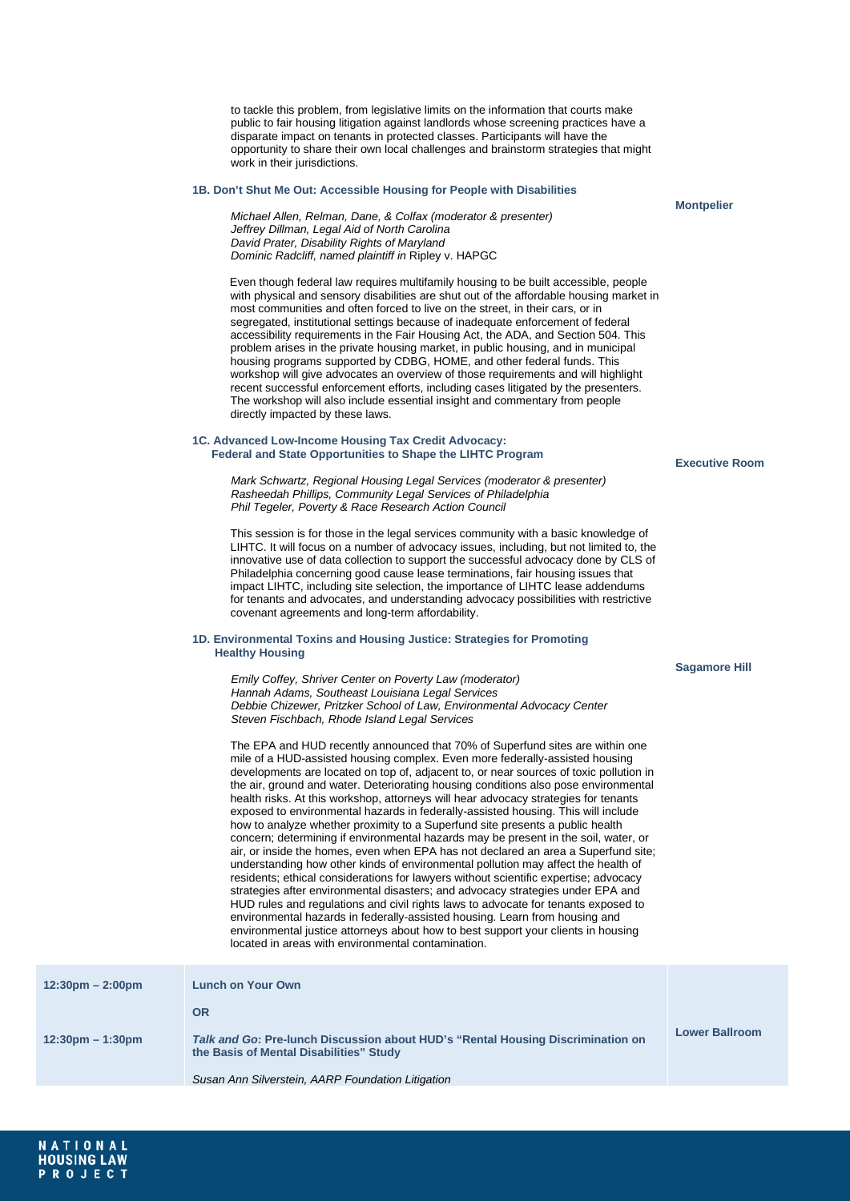to tackle this problem, from legislative limits on the information that courts make public to fair housing litigation against landlords whose screening practices have a disparate impact on tenants in protected classes. Participants will have the opportunity to share their own local challenges and brainstorm strategies that might work in their jurisdictions.

# **1B. Don't Shut Me Out: Accessible Housing for People with Disabilities**

**Montpelier**

*Michael Allen, Relman, Dane, & Colfax (moderator & presenter) Jeffrey Dillman, Legal Aid of North Carolina David Prater, Disability Rights of Maryland Dominic Radcliff, named plaintiff in* Ripley v. HAPGC

Even though federal law requires multifamily housing to be built accessible, people with physical and sensory disabilities are shut out of the affordable housing market in most communities and often forced to live on the street, in their cars, or in segregated, institutional settings because of inadequate enforcement of federal accessibility requirements in the Fair Housing Act, the ADA, and Section 504. This problem arises in the private housing market, in public housing, and in municipal housing programs supported by CDBG, HOME, and other federal funds. This workshop will give advocates an overview of those requirements and will highlight recent successful enforcement efforts, including cases litigated by the presenters. The workshop will also include essential insight and commentary from people directly impacted by these laws.

## **1C. Advanced Low-Income Housing Tax Credit Advocacy: Federal and State Opportunities to Shape the LIHTC Program**

*Mark Schwartz, Regional Housing Legal Services (moderator & presenter) Rasheedah Phillips, Community Legal Services of Philadelphia Phil Tegeler, Poverty & Race Research Action Council*

This session is for those in the legal services community with a basic knowledge of LIHTC. It will focus on a number of advocacy issues, including, but not limited to, the innovative use of data collection to support the successful advocacy done by CLS of Philadelphia concerning good cause lease terminations, fair housing issues that impact LIHTC, including site selection, the importance of LIHTC lease addendums for tenants and advocates, and understanding advocacy possibilities with restrictive covenant agreements and long-term affordability.

# **1D. Environmental Toxins and Housing Justice: Strategies for Promoting Healthy Housing**

*Emily Coffey, Shriver Center on Poverty Law (moderator) Hannah Adams, Southeast Louisiana Legal Services Debbie Chizewer, Pritzker School of Law, Environmental Advocacy Center Steven Fischbach, Rhode Island Legal Services*

The EPA and HUD recently announced that 70% of Superfund sites are within one mile of a HUD-assisted housing complex. Even more federally-assisted housing developments are located on top of, adjacent to, or near sources of toxic pollution in the air, ground and water. Deteriorating housing conditions also pose environmental health risks. At this workshop, attorneys will hear advocacy strategies for tenants exposed to environmental hazards in federally-assisted housing. This will include how to analyze whether proximity to a Superfund site presents a public health concern; determining if environmental hazards may be present in the soil, water, or air, or inside the homes, even when EPA has not declared an area a Superfund site; understanding how other kinds of environmental pollution may affect the health of residents; ethical considerations for lawyers without scientific expertise; advocacy strategies after environmental disasters; and advocacy strategies under EPA and HUD rules and regulations and civil rights laws to advocate for tenants exposed to environmental hazards in federally-assisted housing. Learn from housing and environmental justice attorneys about how to best support your clients in housing located in areas with environmental contamination.

| $12:30 \text{pm} - 2:00 \text{pm}$ | <b>Lunch on Your Own</b>                                                                                                   |                       |
|------------------------------------|----------------------------------------------------------------------------------------------------------------------------|-----------------------|
|                                    | <b>OR</b>                                                                                                                  |                       |
| $12:30 \text{pm} - 1:30 \text{pm}$ | Talk and Go: Pre-lunch Discussion about HUD's "Rental Housing Discrimination on<br>the Basis of Mental Disabilities" Study | <b>Lower Ballroom</b> |
|                                    | Susan Ann Silverstein, AARP Foundation Litigation                                                                          |                       |

**Executive Room**

**Sagamore Hill**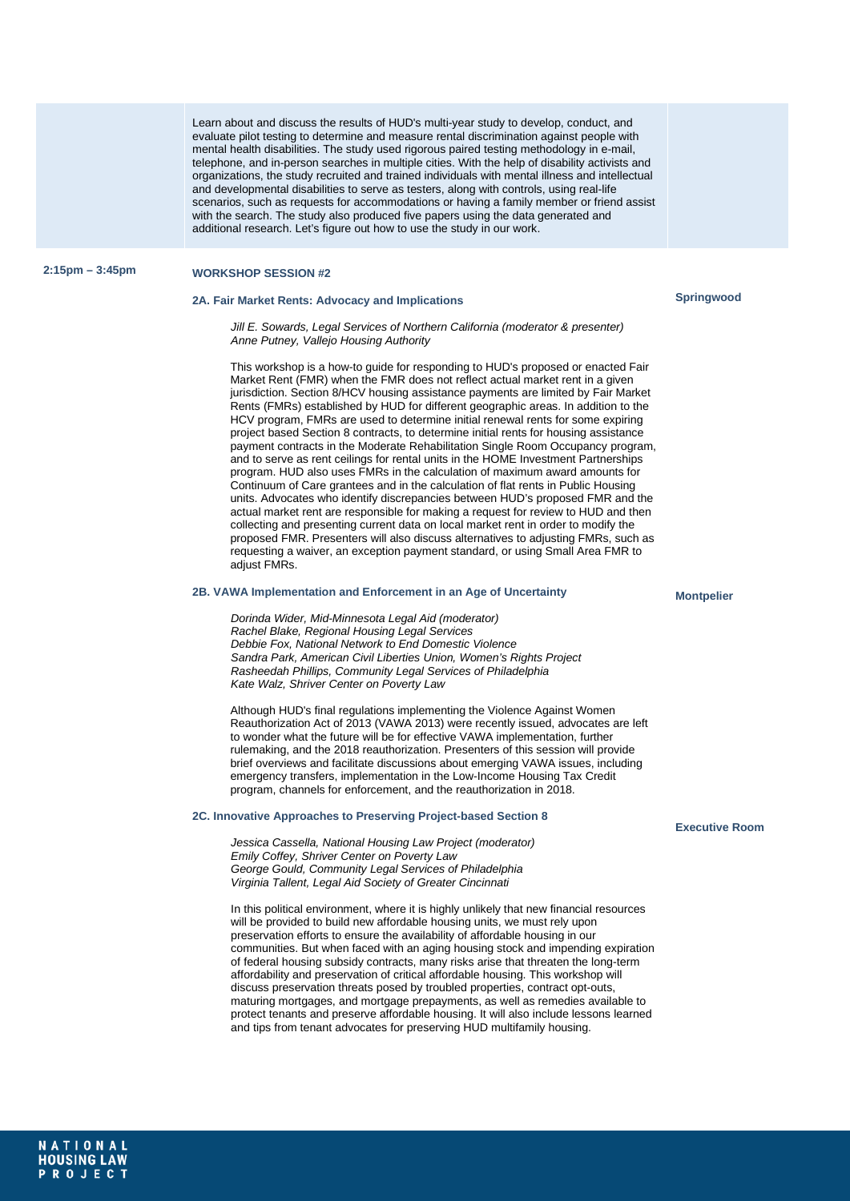Learn about and discuss the results of HUD's multi-year study to develop, conduct, and evaluate pilot testing to determine and measure rental discrimination against people with mental health disabilities. The study used rigorous paired testing methodology in e-mail, telephone, and in-person searches in multiple cities. With the help of disability activists and organizations, the study recruited and trained individuals with mental illness and intellectual and developmental disabilities to serve as testers, along with controls, using real-life scenarios, such as requests for accommodations or having a family member or friend assist with the search. The study also produced five papers using the data generated and additional research. Let's figure out how to use the study in our work.

# **2:15pm – 3:45pm WORKSHOP SESSION #2**

# **2A. Fair Market Rents: Advocacy and Implications**

*Jill E. Sowards, Legal Services of Northern California (moderator & presenter) Anne Putney, Vallejo Housing Authority*

This workshop is a how-to guide for responding to HUD's proposed or enacted Fair Market Rent (FMR) when the FMR does not reflect actual market rent in a given jurisdiction. Section 8/HCV housing assistance payments are limited by Fair Market Rents (FMRs) established by HUD for different geographic areas. In addition to the HCV program, FMRs are used to determine initial renewal rents for some expiring project based Section 8 contracts, to determine initial rents for housing assistance payment contracts in the Moderate Rehabilitation Single Room Occupancy program, and to serve as rent ceilings for rental units in the HOME Investment Partnerships program. HUD also uses FMRs in the calculation of maximum award amounts for Continuum of Care grantees and in the calculation of flat rents in Public Housing units. Advocates who identify discrepancies between HUD's proposed FMR and the actual market rent are responsible for making a request for review to HUD and then collecting and presenting current data on local market rent in order to modify the proposed FMR. Presenters will also discuss alternatives to adjusting FMRs, such as requesting a waiver, an exception payment standard, or using Small Area FMR to adjust FMRs.

# **2B. VAWA Implementation and Enforcement in an Age of Uncertainty**

*Dorinda Wider, Mid-Minnesota Legal Aid (moderator) Rachel Blake, Regional Housing Legal Services Debbie Fox, National Network to End Domestic Violence Sandra Park, American Civil Liberties Union, Women's Rights Project Rasheedah Phillips, Community Legal Services of Philadelphia Kate Walz, Shriver Center on Poverty Law*

Although HUD's final regulations implementing the Violence Against Women Reauthorization Act of 2013 (VAWA 2013) were recently issued, advocates are left to wonder what the future will be for effective VAWA implementation, further rulemaking, and the 2018 reauthorization. Presenters of this session will provide brief overviews and facilitate discussions about emerging VAWA issues, including emergency transfers, implementation in the Low-Income Housing Tax Credit program, channels for enforcement, and the reauthorization in 2018.

# **2C. Innovative Approaches to Preserving Project-based Section 8**

*Jessica Cassella, National Housing Law Project (moderator) Emily Coffey, Shriver Center on Poverty Law George Gould, Community Legal Services of Philadelphia Virginia Tallent, Legal Aid Society of Greater Cincinnati*

In this political environment, where it is highly unlikely that new financial resources will be provided to build new affordable housing units, we must rely upon preservation efforts to ensure the availability of affordable housing in our communities. But when faced with an aging housing stock and impending expiration of federal housing subsidy contracts, many risks arise that threaten the long-term affordability and preservation of critical affordable housing. This workshop will discuss preservation threats posed by troubled properties, contract opt-outs, maturing mortgages, and mortgage prepayments, as well as remedies available to protect tenants and preserve affordable housing. It will also include lessons learned and tips from tenant advocates for preserving HUD multifamily housing.

# **Montpelier**

**Executive Room**

**Springwood**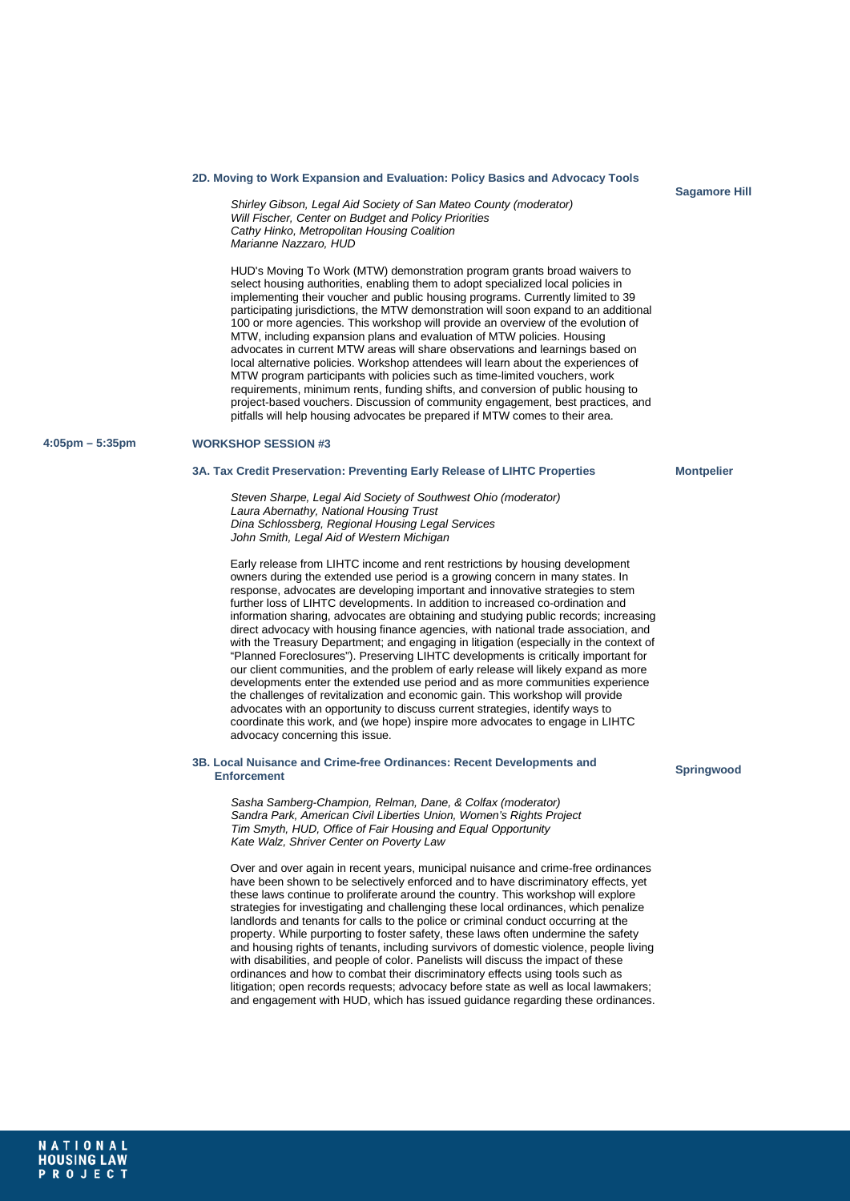#### **2D. Moving to Work Expansion and Evaluation: Policy Basics and Advocacy Tools**

*Shirley Gibson, Legal Aid Society of San Mateo County (moderator) Will Fischer, Center on Budget and Policy Priorities Cathy Hinko, Metropolitan Housing Coalition Marianne Nazzaro, HUD*

HUD's Moving To Work (MTW) demonstration program grants broad waivers to select housing authorities, enabling them to adopt specialized local policies in implementing their voucher and public housing programs. Currently limited to 39 participating jurisdictions, the MTW demonstration will soon expand to an additional 100 or more agencies. This workshop will provide an overview of the evolution of MTW, including expansion plans and evaluation of MTW policies. Housing advocates in current MTW areas will share observations and learnings based on local alternative policies. Workshop attendees will learn about the experiences of MTW program participants with policies such as time-limited vouchers, work requirements, minimum rents, funding shifts, and conversion of public housing to project-based vouchers. Discussion of community engagement, best practices, and pitfalls will help housing advocates be prepared if MTW comes to their area.

### **4:05pm – 5:35pm WORKSHOP SESSION #3**

#### **3A. Tax Credit Preservation: Preventing Early Release of LIHTC Properties**

*Steven Sharpe, Legal Aid Society of Southwest Ohio (moderator) Laura Abernathy, National Housing Trust Dina Schlossberg, Regional Housing Legal Services John Smith, Legal Aid of Western Michigan*

Early release from LIHTC income and rent restrictions by housing development owners during the extended use period is a growing concern in many states. In response, advocates are developing important and innovative strategies to stem further loss of LIHTC developments. In addition to increased co-ordination and information sharing, advocates are obtaining and studying public records; increasing direct advocacy with housing finance agencies, with national trade association, and with the Treasury Department; and engaging in litigation (especially in the context of "Planned Foreclosures"). Preserving LIHTC developments is critically important for our client communities, and the problem of early release will likely expand as more developments enter the extended use period and as more communities experience the challenges of revitalization and economic gain. This workshop will provide advocates with an opportunity to discuss current strategies, identify ways to coordinate this work, and (we hope) inspire more advocates to engage in LIHTC advocacy concerning this issue.

#### **3B. Local Nuisance and Crime-free Ordinances: Recent Developments and Enforcement**

*Sasha Samberg-Champion, Relman, Dane, & Colfax (moderator) Sandra Park, American Civil Liberties Union, Women's Rights Project Tim Smyth, HUD, Office of Fair Housing and Equal Opportunity Kate Walz, Shriver Center on Poverty Law*

Over and over again in recent years, municipal nuisance and crime-free ordinances have been shown to be selectively enforced and to have discriminatory effects, yet these laws continue to proliferate around the country. This workshop will explore strategies for investigating and challenging these local ordinances, which penalize landlords and tenants for calls to the police or criminal conduct occurring at the property. While purporting to foster safety, these laws often undermine the safety and housing rights of tenants, including survivors of domestic violence, people living with disabilities, and people of color. Panelists will discuss the impact of these ordinances and how to combat their discriminatory effects using tools such as litigation; open records requests; advocacy before state as well as local lawmakers; and engagement with HUD, which has issued guidance regarding these ordinances.

# **Springwood**

**Montpelier**

**Sagamore Hill**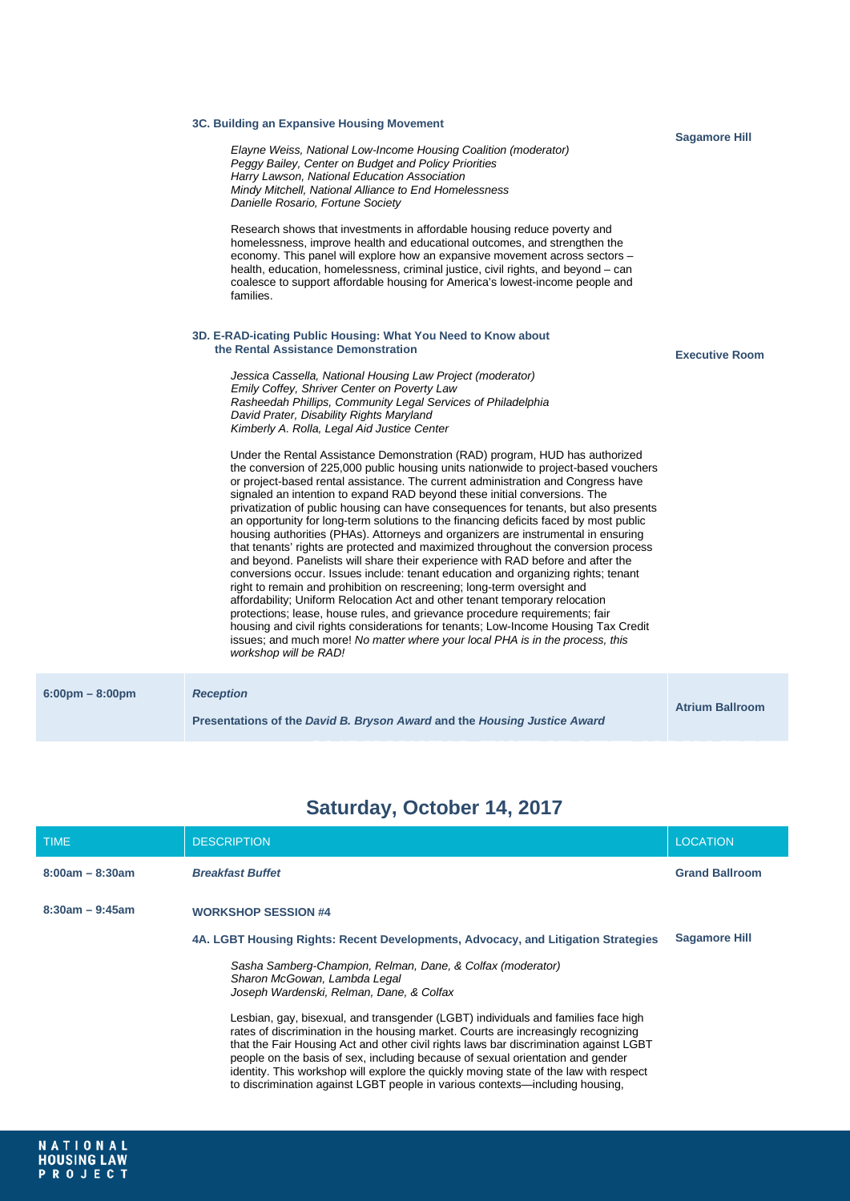|                                   | 3C. Building an Expansive Housing Movement                                                                                                                                                                                                                                                                                                                                                                                                                                                                                                                                                                                                                                                                                                                                                                                                                                                                                                                                                                                                                                                                                                                                                                                                                                                                       |                        |
|-----------------------------------|------------------------------------------------------------------------------------------------------------------------------------------------------------------------------------------------------------------------------------------------------------------------------------------------------------------------------------------------------------------------------------------------------------------------------------------------------------------------------------------------------------------------------------------------------------------------------------------------------------------------------------------------------------------------------------------------------------------------------------------------------------------------------------------------------------------------------------------------------------------------------------------------------------------------------------------------------------------------------------------------------------------------------------------------------------------------------------------------------------------------------------------------------------------------------------------------------------------------------------------------------------------------------------------------------------------|------------------------|
|                                   | Elayne Weiss, National Low-Income Housing Coalition (moderator)<br>Peggy Bailey, Center on Budget and Policy Priorities<br>Harry Lawson, National Education Association<br>Mindy Mitchell, National Alliance to End Homelessness<br>Danielle Rosario, Fortune Society                                                                                                                                                                                                                                                                                                                                                                                                                                                                                                                                                                                                                                                                                                                                                                                                                                                                                                                                                                                                                                            | <b>Sagamore Hill</b>   |
|                                   | Research shows that investments in affordable housing reduce poverty and<br>homelessness, improve health and educational outcomes, and strengthen the<br>economy. This panel will explore how an expansive movement across sectors -<br>health, education, homelessness, criminal justice, civil rights, and beyond – can<br>coalesce to support affordable housing for America's lowest-income people and<br>families.                                                                                                                                                                                                                                                                                                                                                                                                                                                                                                                                                                                                                                                                                                                                                                                                                                                                                          |                        |
|                                   | 3D. E-RAD-icating Public Housing: What You Need to Know about<br>the Rental Assistance Demonstration                                                                                                                                                                                                                                                                                                                                                                                                                                                                                                                                                                                                                                                                                                                                                                                                                                                                                                                                                                                                                                                                                                                                                                                                             |                        |
|                                   | Jessica Cassella, National Housing Law Project (moderator)<br>Emily Coffey, Shriver Center on Poverty Law<br>Rasheedah Phillips, Community Legal Services of Philadelphia<br>David Prater, Disability Rights Maryland<br>Kimberly A. Rolla, Legal Aid Justice Center                                                                                                                                                                                                                                                                                                                                                                                                                                                                                                                                                                                                                                                                                                                                                                                                                                                                                                                                                                                                                                             | <b>Executive Room</b>  |
|                                   | Under the Rental Assistance Demonstration (RAD) program, HUD has authorized<br>the conversion of 225,000 public housing units nationwide to project-based vouchers<br>or project-based rental assistance. The current administration and Congress have<br>signaled an intention to expand RAD beyond these initial conversions. The<br>privatization of public housing can have consequences for tenants, but also presents<br>an opportunity for long-term solutions to the financing deficits faced by most public<br>housing authorities (PHAs). Attorneys and organizers are instrumental in ensuring<br>that tenants' rights are protected and maximized throughout the conversion process<br>and beyond. Panelists will share their experience with RAD before and after the<br>conversions occur. Issues include: tenant education and organizing rights; tenant<br>right to remain and prohibition on rescreening; long-term oversight and<br>affordability; Uniform Relocation Act and other tenant temporary relocation<br>protections; lease, house rules, and grievance procedure requirements; fair<br>housing and civil rights considerations for tenants; Low-Income Housing Tax Credit<br>issues; and much more! No matter where your local PHA is in the process, this<br>workshop will be RAD! |                        |
| $6:00 \text{pm} - 8:00 \text{pm}$ | <b>Reception</b>                                                                                                                                                                                                                                                                                                                                                                                                                                                                                                                                                                                                                                                                                                                                                                                                                                                                                                                                                                                                                                                                                                                                                                                                                                                                                                 | <b>Atrium Ballroom</b> |

# **Saturday, October 14, 2017**

**Presentations of the** *David B. Bryson Award* **and the** *Housing Justice Award*

| <b>TIME</b>       | <b>DESCRIPTION</b>                                                                                                                                                                                                                                                                                                                                                                                                                                                                                                          | <b>LOCATION</b>       |
|-------------------|-----------------------------------------------------------------------------------------------------------------------------------------------------------------------------------------------------------------------------------------------------------------------------------------------------------------------------------------------------------------------------------------------------------------------------------------------------------------------------------------------------------------------------|-----------------------|
| $8:00am - 8:30am$ | <b>Breakfast Buffet</b>                                                                                                                                                                                                                                                                                                                                                                                                                                                                                                     | <b>Grand Ballroom</b> |
| $8:30am - 9:45am$ | <b>WORKSHOP SESSION #4</b>                                                                                                                                                                                                                                                                                                                                                                                                                                                                                                  |                       |
|                   | 4A. LGBT Housing Rights: Recent Developments, Advocacy, and Litigation Strategies                                                                                                                                                                                                                                                                                                                                                                                                                                           | <b>Sagamore Hill</b>  |
|                   | Sasha Samberg-Champion, Relman, Dane, & Colfax (moderator)<br>Sharon McGowan, Lambda Legal<br>Joseph Wardenski, Relman, Dane, & Colfax                                                                                                                                                                                                                                                                                                                                                                                      |                       |
|                   | Lesbian, gay, bisexual, and transgender (LGBT) individuals and families face high<br>rates of discrimination in the housing market. Courts are increasingly recognizing<br>that the Fair Housing Act and other civil rights laws bar discrimination against LGBT<br>people on the basis of sex, including because of sexual orientation and gender<br>identity. This workshop will explore the quickly moving state of the law with respect<br>to discrimination against LGBT people in various contexts—including housing. |                       |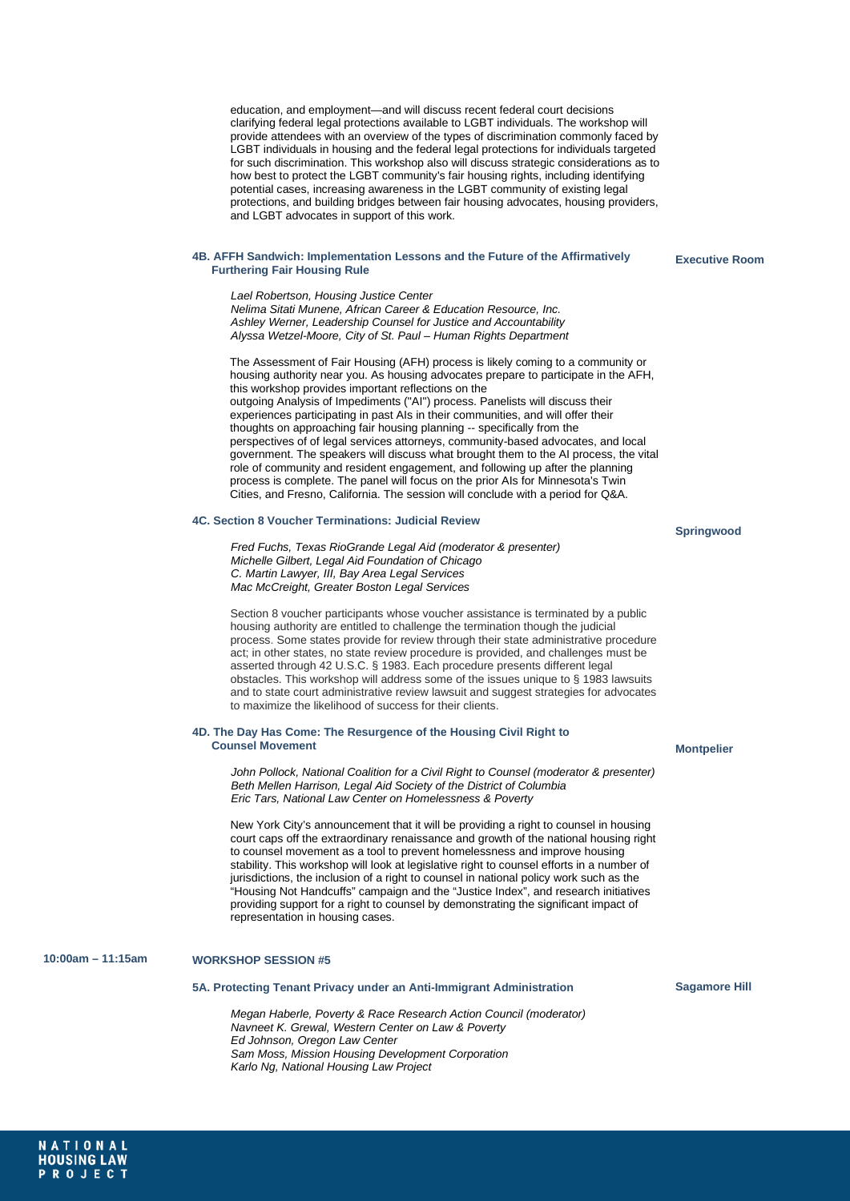education, and employment—and will discuss recent federal court decisions clarifying federal legal protections available to LGBT individuals. The workshop will provide attendees with an overview of the types of discrimination commonly faced by LGBT individuals in housing and the federal legal protections for individuals targeted for such discrimination. This workshop also will discuss strategic considerations as to how best to protect the LGBT community's fair housing rights, including identifying potential cases, increasing awareness in the LGBT community of existing legal protections, and building bridges between fair housing advocates, housing providers, and LGBT advocates in support of this work.

#### **4B. AFFH Sandwich: Implementation Lessons and the Future of the Affirmatively Furthering Fair Housing Rule**

**Executive Room**

*Lael Robertson, Housing Justice Center Nelima Sitati Munene, African Career & Education Resource, Inc. Ashley Werner, Leadership Counsel for Justice and Accountability Alyssa Wetzel-Moore, City of St. Paul – Human Rights Department*

The Assessment of Fair Housing (AFH) process is likely coming to a community or housing authority near you. As housing advocates prepare to participate in the AFH, this workshop provides important reflections on the outgoing Analysis of Impediments ("AI") process. Panelists will discuss their experiences participating in past AIs in their communities, and will offer their thoughts on approaching fair housing planning -- specifically from the perspectives of of legal services attorneys, community-based advocates, and local government. The speakers will discuss what brought them to the AI process, the vital role of community and resident engagement, and following up after the planning process is complete. The panel will focus on the prior AIs for Minnesota's Twin Cities, and Fresno, California. The session will conclude with a period for Q&A.

# **4C. Section 8 Voucher Terminations: Judicial Review**

*Fred Fuchs, Texas RioGrande Legal Aid (moderator & presenter) Michelle Gilbert, Legal Aid Foundation of Chicago C. Martin Lawyer, III, Bay Area Legal Services Mac McCreight, Greater Boston Legal Services*

Section 8 voucher participants whose voucher assistance is terminated by a public housing authority are entitled to challenge the termination though the judicial process. Some states provide for review through their state administrative procedure act; in other states, no state review procedure is provided, and challenges must be asserted through 42 U.S.C. § 1983. Each procedure presents different legal obstacles. This workshop will address some of the issues unique to § 1983 lawsuits and to state court administrative review lawsuit and suggest strategies for advocates to maximize the likelihood of success for their clients.

#### **4D. The Day Has Come: The Resurgence of the Housing Civil Right to Counsel Movement**

*John Pollock, National Coalition for a Civil Right to Counsel (moderator & presenter) Beth Mellen Harrison, Legal Aid Society of the District of Columbia Eric Tars, National Law Center on Homelessness & Poverty*

New York City's announcement that it will be providing a right to counsel in housing court caps off the extraordinary renaissance and growth of the national housing right to counsel movement as a tool to prevent homelessness and improve housing stability. This workshop will look at legislative right to counsel efforts in a number of jurisdictions, the inclusion of a right to counsel in national policy work such as the "Housing Not Handcuffs" campaign and the "Justice Index", and research initiatives providing support for a right to counsel by demonstrating the significant impact of representation in housing cases.

# **10:00am – 11:15am WORKSHOP SESSION #5**

# **5A. Protecting Tenant Privacy under an Anti-Immigrant Administration**

*Megan Haberle, Poverty & Race Research Action Council (moderator) Navneet K. Grewal, Western Center on Law & Poverty Ed Johnson, Oregon Law Center Sam Moss, Mission Housing Development Corporation Karlo Ng, National Housing Law Project*

# **Springwood**

# **Montpelier**

**Sagamore Hill**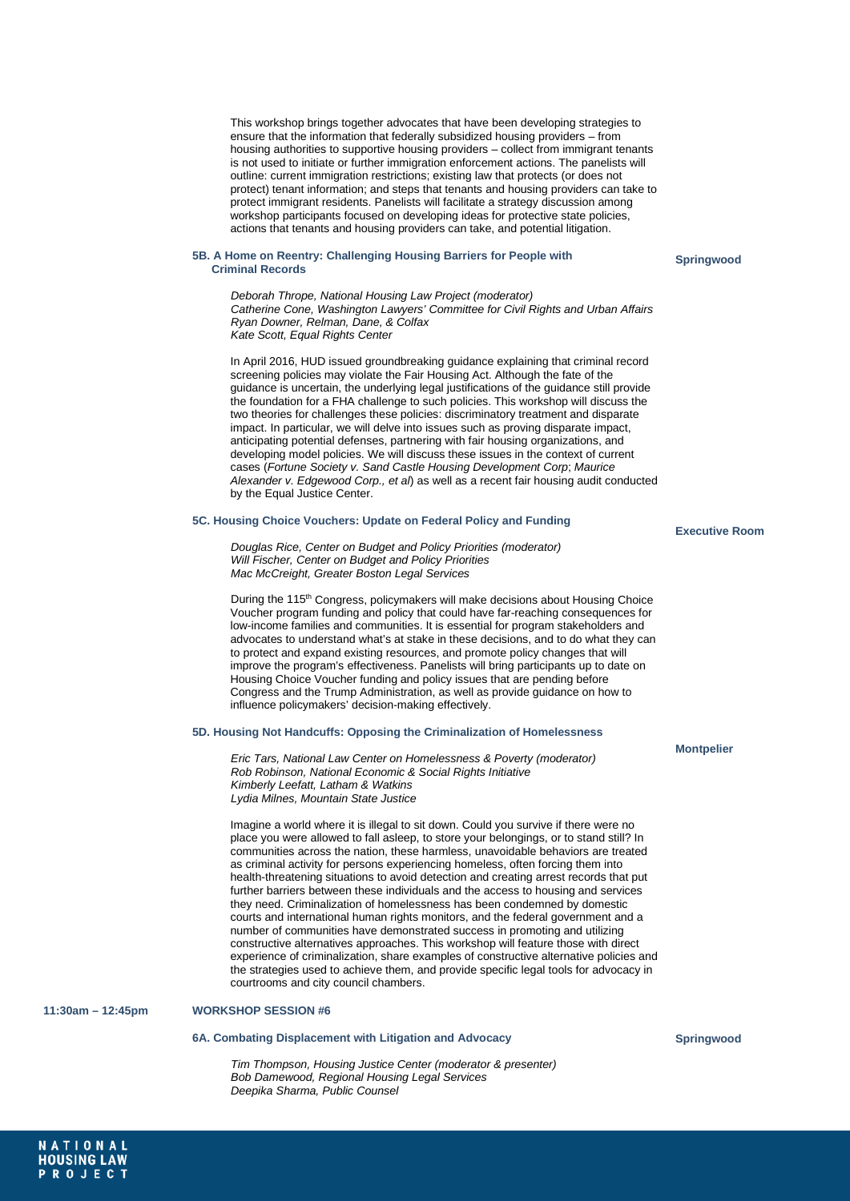This workshop brings together advocates that have been developing strategies to ensure that the information that federally subsidized housing providers – from housing authorities to supportive housing providers – collect from immigrant tenants is not used to initiate or further immigration enforcement actions. The panelists will outline: current immigration restrictions; existing law that protects (or does not protect) tenant information; and steps that tenants and housing providers can take to protect immigrant residents. Panelists will facilitate a strategy discussion among workshop participants focused on developing ideas for protective state policies. actions that tenants and housing providers can take, and potential litigation.

### **5B. A Home on Reentry: Challenging Housing Barriers for People with Criminal Records**

**Springwood**

*Deborah Thrope, National Housing Law Project (moderator) Catherine Cone, Washington Lawyers' Committee for Civil Rights and Urban Affairs Ryan Downer, Relman, Dane, & Colfax Kate Scott, Equal Rights Center*

In April 2016, HUD issued groundbreaking guidance explaining that criminal record screening policies may violate the Fair Housing Act. Although the fate of the guidance is uncertain, the underlying legal justifications of the guidance still provide the foundation for a FHA challenge to such policies. This workshop will discuss the two theories for challenges these policies: discriminatory treatment and disparate impact. In particular, we will delve into issues such as proving disparate impact, anticipating potential defenses, partnering with fair housing organizations, and developing model policies. We will discuss these issues in the context of current cases (*Fortune Society v. Sand Castle Housing Development Corp*; *Maurice Alexander v. Edgewood Corp., et al*) as well as a recent fair housing audit conducted by the Equal Justice Center.

#### **5C. Housing Choice Vouchers: Update on Federal Policy and Funding**

*Douglas Rice, Center on Budget and Policy Priorities (moderator) Will Fischer, Center on Budget and Policy Priorities Mac McCreight, Greater Boston Legal Services*

During the 115<sup>th</sup> Congress, policymakers will make decisions about Housing Choice Voucher program funding and policy that could have far-reaching consequences for low-income families and communities. It is essential for program stakeholders and advocates to understand what's at stake in these decisions, and to do what they can to protect and expand existing resources, and promote policy changes that will improve the program's effectiveness. Panelists will bring participants up to date on Housing Choice Voucher funding and policy issues that are pending before Congress and the Trump Administration, as well as provide guidance on how to influence policymakers' decision-making effectively.

# **5D. Housing Not Handcuffs: Opposing the Criminalization of Homelessness**

*Eric Tars, National Law Center on Homelessness & Poverty (moderator) Rob Robinson, National Economic & Social Rights Initiative Kimberly Leefatt, Latham & Watkins Lydia Milnes, Mountain State Justice*

Imagine a world where it is illegal to sit down. Could you survive if there were no place you were allowed to fall asleep, to store your belongings, or to stand still? In communities across the nation, these harmless, unavoidable behaviors are treated as criminal activity for persons experiencing homeless, often forcing them into health-threatening situations to avoid detection and creating arrest records that put further barriers between these individuals and the access to housing and services they need. Criminalization of homelessness has been condemned by domestic courts and international human rights monitors, and the federal government and a number of communities have demonstrated success in promoting and utilizing constructive alternatives approaches. This workshop will feature those with direct experience of criminalization, share examples of constructive alternative policies and the strategies used to achieve them, and provide specific legal tools for advocacy in courtrooms and city council chambers.

### **11:30am – 12:45pm WORKSHOP SESSION #6**

NATIONAL **HOUSING LAW** PROJECT

# **6A. Combating Displacement with Litigation and Advocacy**

*Tim Thompson, Housing Justice Center (moderator & presenter) Bob Damewood, Regional Housing Legal Services Deepika Sharma, Public Counsel*

#### **Executive Room**

#### **Montpelier**

**Springwood**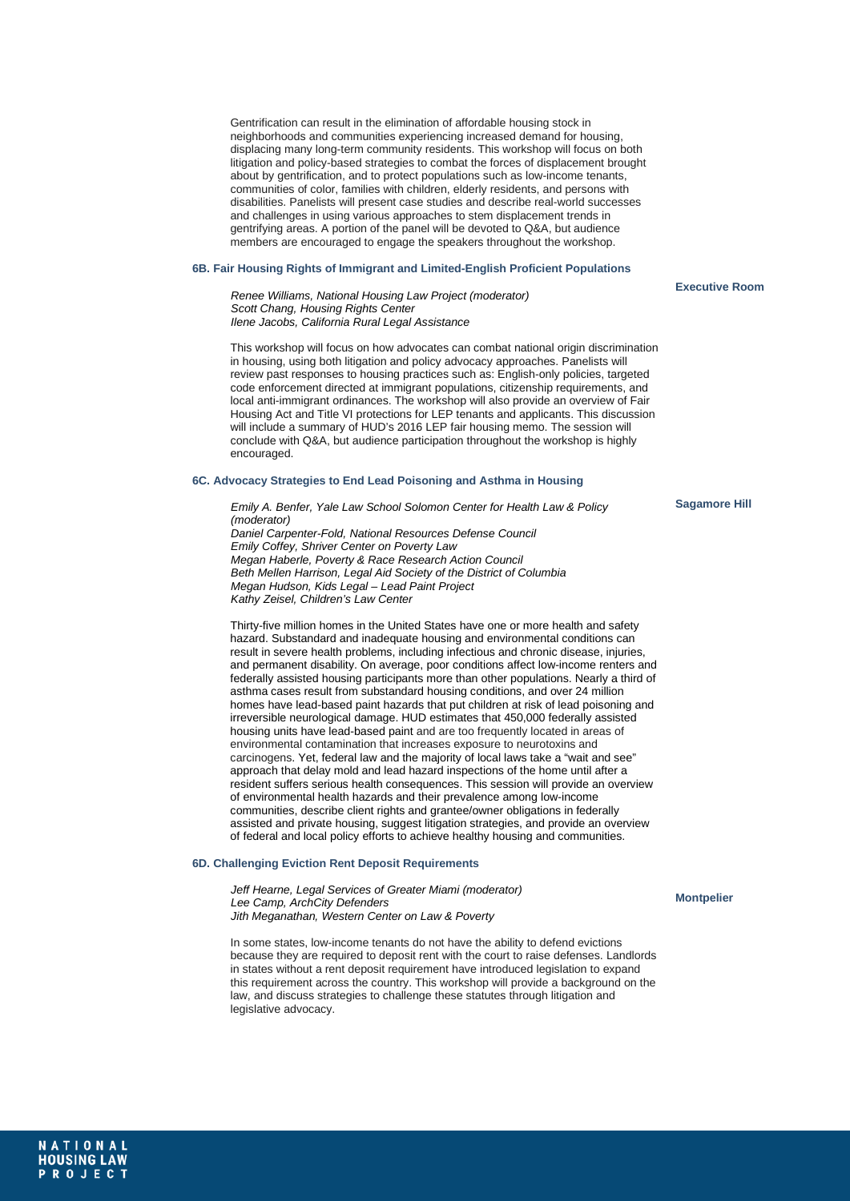Gentrification can result in the elimination of affordable housing stock in neighborhoods and communities experiencing increased demand for housing, displacing many long-term community residents. This workshop will focus on both litigation and policy-based strategies to combat the forces of displacement brought about by gentrification, and to protect populations such as low-income tenants, communities of color, families with children, elderly residents, and persons with disabilities. Panelists will present case studies and describe real-world successes and challenges in using various approaches to stem displacement trends in gentrifying areas. A portion of the panel will be devoted to Q&A, but audience members are encouraged to engage the speakers throughout the workshop.

#### **6B. Fair Housing Rights of Immigrant and Limited-English Proficient Populations**

*Renee Williams, National Housing Law Project (moderator) Scott Chang, Housing Rights Center Ilene Jacobs, California Rural Legal Assistance*

This workshop will focus on how advocates can combat national origin discrimination in housing, using both litigation and policy advocacy approaches. Panelists will review past responses to housing practices such as: English-only policies, targeted code enforcement directed at immigrant populations, citizenship requirements, and local anti-immigrant ordinances. The workshop will also provide an overview of Fair Housing Act and Title VI protections for LEP tenants and applicants. This discussion will include a summary of HUD's 2016 LEP fair housing memo. The session will conclude with Q&A, but audience participation throughout the workshop is highly encouraged

# **6C. Advocacy Strategies to End Lead Poisoning and Asthma in Housing**

*Emily A. Benfer, Yale Law School Solomon Center for Health Law & Policy (moderator) Daniel Carpenter-Fold, National Resources Defense Council Emily Coffey, Shriver Center on Poverty Law Megan Haberle, Poverty & Race Research Action Council Beth Mellen Harrison, Legal Aid Society of the District of Columbia Megan Hudson, Kids Legal – Lead Paint Project Kathy Zeisel, Children's Law Center*

Thirty-five million homes in the United States have one or more health and safety hazard. Substandard and inadequate housing and environmental conditions can result in severe health problems, including infectious and chronic disease, injuries, and permanent disability. On average, poor conditions affect low-income renters and federally assisted housing participants more than other populations. Nearly a third of asthma cases result from substandard housing conditions, and over 24 million homes have lead-based paint hazards that put children at risk of lead poisoning and irreversible neurological damage. HUD estimates that 450,000 federally assisted housing units have lead-based paint and are too frequently located in areas of environmental contamination that increases exposure to neurotoxins and carcinogens. Yet, federal law and the majority of local laws take a "wait and see" approach that delay mold and lead hazard inspections of the home until after a resident suffers serious health consequences. This session will provide an overview of environmental health hazards and their prevalence among low-income communities, describe client rights and grantee/owner obligations in federally assisted and private housing, suggest litigation strategies, and provide an overview of federal and local policy efforts to achieve healthy housing and communities.

#### **6D. Challenging Eviction Rent Deposit Requirements**

*Jeff Hearne, Legal Services of Greater Miami (moderator) Lee Camp, ArchCity Defenders Jith Meganathan, Western Center on Law & Poverty*

In some states, low-income tenants do not have the ability to defend evictions because they are required to deposit rent with the court to raise defenses. Landlords in states without a rent deposit requirement have introduced legislation to expand this requirement across the country. This workshop will provide a background on the law, and discuss strategies to challenge these statutes through litigation and legislative advocacy.

**Sagamore Hill**

**Executive Room**

**Montpelier**